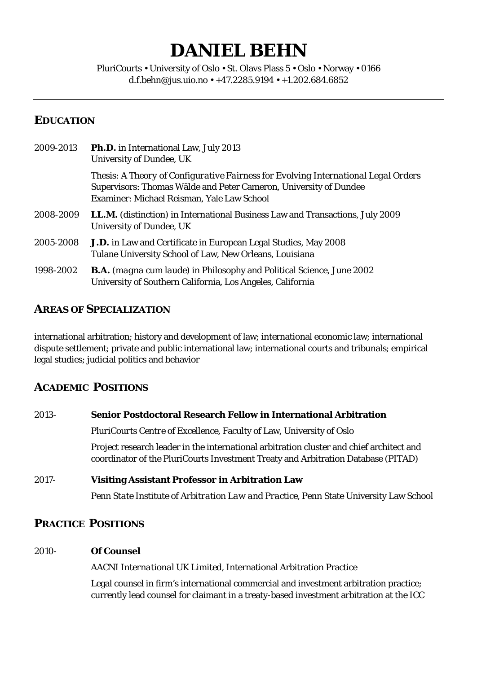# **DANIEL BEHN**

PluriCourts • University of Oslo • St. Olavs Plass 5 • Oslo • Norway • 0166 d.f.behn@jus.uio.no • +47.2285.9194 • +1.202.684.6852

## **EDUCATION**

| 2009-2013 | <b>Ph.D.</b> in International Law, July 2013<br>University of Dundee, UK                                                                                                                              |
|-----------|-------------------------------------------------------------------------------------------------------------------------------------------------------------------------------------------------------|
|           | Thesis: A Theory of Configurative Fairness for Evolving International Legal Orders<br>Supervisors: Thomas Wälde and Peter Cameron, University of Dundee<br>Examiner: Michael Reisman, Yale Law School |
| 2008-2009 | <b>LL.M.</b> ( <i>distinction</i> ) in International Business Law and Transactions, July 2009<br>University of Dundee, UK                                                                             |
| 2005-2008 | <b>J.D.</b> in Law and Certificate in European Legal Studies, May 2008<br>Tulane University School of Law, New Orleans, Louisiana                                                                     |
| 1998-2002 | <b>B.A.</b> ( <i>magna cum laude</i> ) in Philosophy and Political Science, June 2002<br>University of Southern California, Los Angeles, California                                                   |

## **AREAS OF SPECIALIZATION**

international arbitration; history and development of law; international economic law; international dispute settlement; private and public international law; international courts and tribunals; empirical legal studies; judicial politics and behavior

## **ACADEMIC POSITIONS**

#### 2013- **Senior Postdoctoral Research Fellow in International Arbitration**

*PluriCourts Centre of Excellence*, Faculty of Law, University of Oslo

Project research leader in the international arbitration cluster and chief architect and coordinator of the PluriCourts Investment Treaty and Arbitration Database (PITAD)

#### 2017- **Visiting Assistant Professor in Arbitration Law**

*Penn State Institute of Arbitration Law and Practice,* Penn State University Law School

## **PRACTICE POSITIONS**

#### 2010- **Of Counsel**

*AACNI International UK Limited,* International Arbitration Practice

Legal counsel in firm's international commercial and investment arbitration practice; currently lead counsel for claimant in a treaty-based investment arbitration at the ICC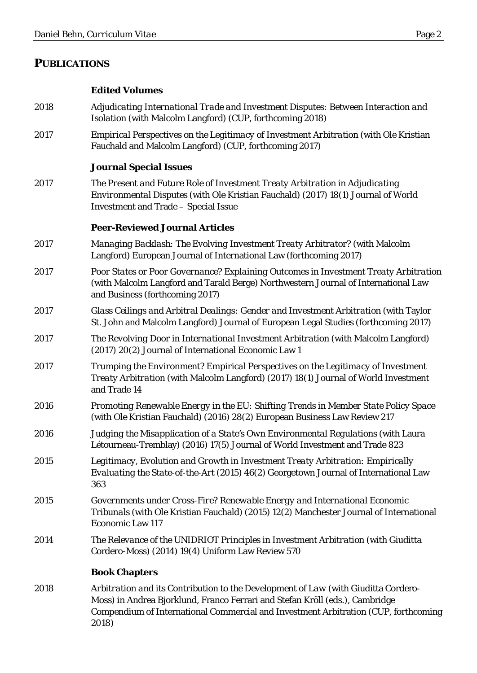## **PUBLICATIONS**

#### **Edited Volumes**

2018 *Adjudicating International Trade and Investment Disputes: Between Interaction and Isolation* (with Malcolm Langford) (CUP, forthcoming 2018) 2017 *Empirical Perspectives on the Legitimacy of Investment Arbitration* (with Ole Kristian Fauchald and Malcolm Langford) (CUP, forthcoming 2017)

#### **Journal Special Issues**

2017 *The Present and Future Role of Investment Treaty Arbitration in Adjudicating Environmental Disputes* (with Ole Kristian Fauchald) (2017) 18(1) Journal of World Investment and Trade – Special Issue

#### **Peer-Reviewed Journal Articles**

- 2017 *Managing Backlash: The Evolving Investment Treaty Arbitrator?* (with Malcolm Langford) European Journal of International Law (forthcoming 2017)
- 2017 *Poor States or Poor Governance? Explaining Outcomes in Investment Treaty Arbitration*  (with Malcolm Langford and Tarald Berge) Northwestern Journal of International Law and Business (forthcoming 2017)
- 2017 *Glass Ceilings and Arbitral Dealings: Gender and Investment Arbitration* (with Taylor St. John and Malcolm Langford) Journal of European Legal Studies (forthcoming 2017)
- 2017 *The Revolving Door in International Investment Arbitration (with Malcolm Langford)* (2017) 20(2) Journal of International Economic Law 1
- 2017 *Trumping the Environment? Empirical Perspectives on the Legitimacy of Investment Treaty Arbitration* (with Malcolm Langford) (2017) 18(1) Journal of World Investment and Trade 14
- 2016 *Promoting Renewable Energy in the EU: Shifting Trends in Member State Policy Space* (with Ole Kristian Fauchald) (2016) 28(2) European Business Law Review 217
- 2016 *Judging the Misapplication of a State's Own Environmental Regulations* (with Laura Létourneau-Tremblay) (2016) 17(5) Journal of World Investment and Trade 823
- 2015 *Legitimacy, Evolution and Growth in Investment Treaty Arbitration: Empirically Evaluating the State-of-the-Art* (2015) 46(2) Georgetown Journal of International Law 363
- 2015 *Governments under Cross-Fire? Renewable Energy and International Economic Tribunals* (with Ole Kristian Fauchald) (2015) 12(2) Manchester Journal of International Economic Law 117
- 2014 *The Relevance of the UNIDRIOT Principles in Investment Arbitration* (with Giuditta Cordero-Moss) (2014) 19(4) Uniform Law Review 570

#### **Book Chapters**

2018 *Arbitration and its Contribution to the Development of Law* (with Giuditta Cordero-Moss) in Andrea Bjorklund, Franco Ferrari and Stefan Kröll (eds.), Cambridge Compendium of International Commercial and Investment Arbitration (CUP, forthcoming 2018)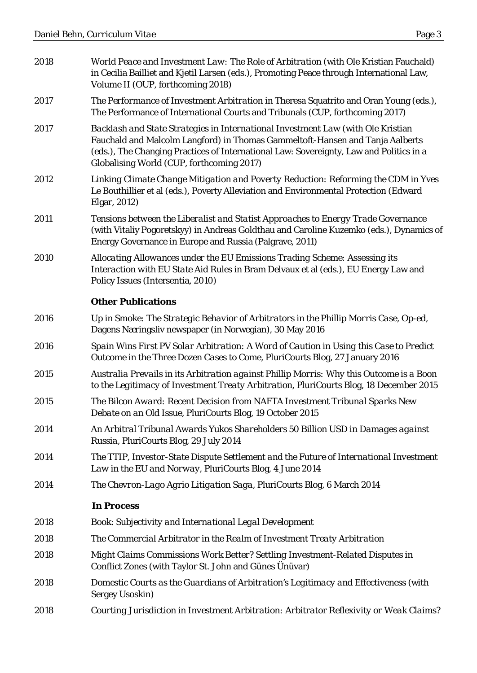| 2018 | World Peace and Investment Law: The Role of Arbitration (with Ole Kristian Fauchald)<br>in Cecilia Bailliet and Kjetil Larsen (eds.), Promoting Peace through International Law,<br>Volume II (OUP, forthcoming 2018)                                                                                     |
|------|-----------------------------------------------------------------------------------------------------------------------------------------------------------------------------------------------------------------------------------------------------------------------------------------------------------|
| 2017 | The Performance of Investment Arbitration in Theresa Squatrito and Oran Young (eds.),<br>The Performance of International Courts and Tribunals (CUP, forthcoming 2017)                                                                                                                                    |
| 2017 | Backlash and State Strategies in International Investment Law (with Ole Kristian<br>Fauchald and Malcolm Langford) in Thomas Gammeltoft-Hansen and Tanja Aalberts<br>(eds.), The Changing Practices of International Law: Sovereignty, Law and Politics in a<br>Globalising World (CUP, forthcoming 2017) |
| 2012 | Linking Climate Change Mitigation and Poverty Reduction: Reforming the CDM in Yves<br>Le Bouthillier et al (eds.), Poverty Alleviation and Environmental Protection (Edward<br>Elgar, 2012)                                                                                                               |
| 2011 | Tensions between the Liberalist and Statist Approaches to Energy Trade Governance<br>(with Vitaliy Pogoretskyy) in Andreas Goldthau and Caroline Kuzemko (eds.), Dynamics of<br>Energy Governance in Europe and Russia (Palgrave, 2011)                                                                   |
| 2010 | Allocating Allowances under the EU Emissions Trading Scheme: Assessing its<br>Interaction with EU State Aid Rules in Bram Delvaux et al (eds.), EU Energy Law and<br>Policy Issues (Intersentia, 2010)                                                                                                    |
|      | <b>Other Publications</b>                                                                                                                                                                                                                                                                                 |
| 2016 | Up in Smoke: The Strategic Behavior of Arbitrators in the Phillip Morris Case, Op-ed,<br>Dagens Næringsliv newspaper (in Norwegian), 30 May 2016                                                                                                                                                          |
| 2016 | Spain Wins First PV Solar Arbitration: A Word of Caution in Using this Case to Predict<br>Outcome in the Three Dozen Cases to Come, PluriCourts Blog, 27 January 2016                                                                                                                                     |
| 2015 | Australia Prevails in its Arbitration against Phillip Morris: Why this Outcome is a Boon                                                                                                                                                                                                                  |
|      | to the Legitimacy of Investment Treaty Arbitration, PluriCourts Blog, 18 December 2015                                                                                                                                                                                                                    |
| 2015 | The Bilcon Award: Recent Decision from NAFTA Investment Tribunal Sparks New<br>Debate on an Old Issue, PluriCourts Blog, 19 October 2015                                                                                                                                                                  |
| 2014 | An Arbitral Tribunal Awards Yukos Shareholders 50 Billion USD in Damages against<br>Russia, PluriCourts Blog, 29 July 2014                                                                                                                                                                                |
| 2014 | The TTIP, Investor-State Dispute Settlement and the Future of International Investment<br>Law in the EU and Norway, PluriCourts Blog, 4 June 2014                                                                                                                                                         |
| 2014 | The Chevron-Lago Agrio Litigation Saga, PluriCourts Blog, 6 March 2014                                                                                                                                                                                                                                    |
|      | <b>In Process</b>                                                                                                                                                                                                                                                                                         |
| 2018 | <b>Book: Subjectivity and International Legal Development</b>                                                                                                                                                                                                                                             |
| 2018 | The Commercial Arbitrator in the Realm of Investment Treaty Arbitration                                                                                                                                                                                                                                   |
| 2018 | Might Claims Commissions Work Better? Settling Investment-Related Disputes in<br>Conflict Zones (with Taylor St. John and Günes Ünüvar)                                                                                                                                                                   |
| 2018 | Domestic Courts as the Guardians of Arbitration's Legitimacy and Effectiveness (with<br><b>Sergey Usoskin)</b>                                                                                                                                                                                            |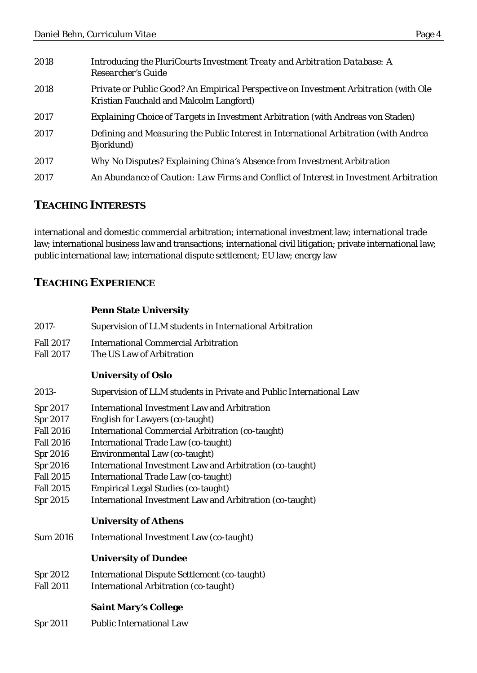| 2018 | Introducing the PluriCourts Investment Treaty and Arbitration Database: A<br>Researcher's Guide                                 |
|------|---------------------------------------------------------------------------------------------------------------------------------|
| 2018 | Private or Public Good? An Empirical Perspective on Investment Arbitration (with Ole<br>Kristian Fauchald and Malcolm Langford) |
| 2017 | <b>Explaining Choice of Targets in Investment Arbitration (with Andreas von Staden)</b>                                         |
| 2017 | Defining and Measuring the Public Interest in International Arbitration (with Andrea<br>Bjorklund)                              |
| 2017 | Why No Disputes? Explaining China's Absence from Investment Arbitration                                                         |
| 2017 | An Abundance of Caution: Law Firms and Conflict of Interest in Investment Arbitration                                           |

# **TEACHING INTERESTS**

international and domestic commercial arbitration; international investment law; international trade law; international business law and transactions; international civil litigation; private international law; public international law; international dispute settlement; EU law; energy law

## **TEACHING EXPERIENCE**

#### **Penn State University**

| 2017-            | Supervision of LLM students in International Arbitration            |
|------------------|---------------------------------------------------------------------|
| <b>Fall 2017</b> | <b>International Commercial Arbitration</b>                         |
| <b>Fall 2017</b> | The US Law of Arbitration                                           |
|                  |                                                                     |
|                  | <b>University of Oslo</b>                                           |
| 2013-            | Supervision of LLM students in Private and Public International Law |
| Spr 2017         | <b>International Investment Law and Arbitration</b>                 |
| Spr 2017         | <b>English for Lawyers (co-taught)</b>                              |
| <b>Fall 2016</b> | <b>International Commercial Arbitration (co-taught)</b>             |
| <b>Fall 2016</b> | <b>International Trade Law (co-taught)</b>                          |
| <b>Spr 2016</b>  | Environmental Law (co-taught)                                       |
| <b>Spr 2016</b>  | <b>International Investment Law and Arbitration (co-taught)</b>     |
| <b>Fall 2015</b> | <b>International Trade Law (co-taught)</b>                          |
| <b>Fall 2015</b> | <b>Empirical Legal Studies (co-taught)</b>                          |
| <b>Spr 2015</b>  | <b>International Investment Law and Arbitration (co-taught)</b>     |
|                  | <b>University of Athens</b>                                         |
| <b>Sum 2016</b>  | <b>International Investment Law (co-taught)</b>                     |
|                  | <b>University of Dundee</b>                                         |
| <b>Spr 2012</b>  | <b>International Dispute Settlement (co-taught)</b>                 |
| <b>Fall 2011</b> | <b>International Arbitration (co-taught)</b>                        |
|                  |                                                                     |
|                  | <b>Saint Mary's College</b>                                         |
| <b>Spr 2011</b>  | <b>Public International Law</b>                                     |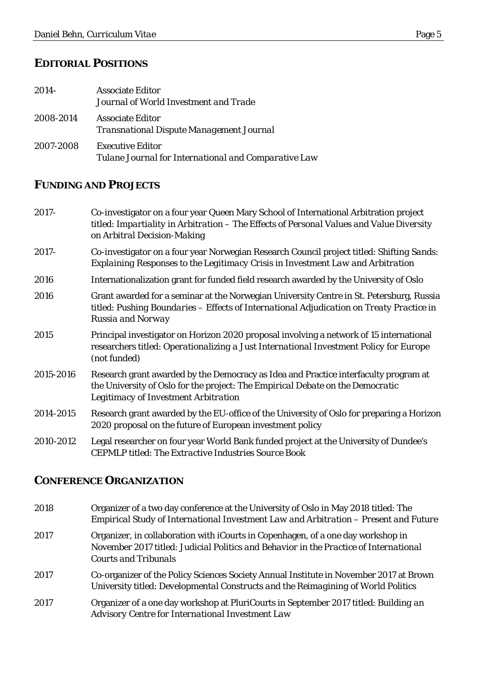# **EDITORIAL POSITIONS**

| 2014-     | <b>Associate Editor</b><br>Journal of World Investment and Trade                |
|-----------|---------------------------------------------------------------------------------|
| 2008-2014 | <b>Associate Editor</b><br><b>Transnational Dispute Management Journal</b>      |
| 2007-2008 | <b>Executive Editor</b><br>Tulane Journal for International and Comparative Law |

# **FUNDING AND PROJECTS**

| 2017-     | Co-investigator on a four year Queen Mary School of International Arbitration project<br>titled: Impartiality in Arbitration - The Effects of Personal Values and Value Diversity<br>on Arbitral Decision-Making      |
|-----------|-----------------------------------------------------------------------------------------------------------------------------------------------------------------------------------------------------------------------|
| 2017-     | Co-investigator on a four year Norwegian Research Council project titled: Shifting Sands:<br>Explaining Responses to the Legitimacy Crisis in Investment Law and Arbitration                                          |
| 2016      | Internationalization grant for funded field research awarded by the University of Oslo                                                                                                                                |
| 2016      | Grant awarded for a seminar at the Norwegian University Centre in St. Petersburg, Russia<br>titled: Pushing Boundaries - Effects of International Adjudication on Treaty Practice in<br><b>Russia and Norway</b>      |
| 2015      | Principal investigator on Horizon 2020 proposal involving a network of 15 international<br>researchers titled: Operationalizing a Just International Investment Policy for Europe<br>(not funded)                     |
| 2015-2016 | Research grant awarded by the Democracy as Idea and Practice interfaculty program at<br>the University of Oslo for the project: The Empirical Debate on the Democratic<br><b>Legitimacy of Investment Arbitration</b> |
| 2014-2015 | Research grant awarded by the EU-office of the University of Oslo for preparing a Horizon<br>2020 proposal on the future of European investment policy                                                                |
| 2010-2012 | Legal researcher on four year World Bank funded project at the University of Dundee's<br><b>CEPMLP</b> titled: The Extractive Industries Source Book                                                                  |

# **CONFERENCE ORGANIZATION**

| 2018 | Organizer of a two day conference at the University of Oslo in May 2018 titled: The<br>Empirical Study of International Investment Law and Arbitration - Present and Future                              |
|------|----------------------------------------------------------------------------------------------------------------------------------------------------------------------------------------------------------|
| 2017 | Organizer, in collaboration with iCourts in Copenhagen, of a one day workshop in<br>November 2017 titled: Judicial Politics and Behavior in the Practice of International<br><b>Courts and Tribunals</b> |
| 2017 | Co-organizer of the Policy Sciences Society Annual Institute in November 2017 at Brown<br>University titled: Developmental Constructs and the Reimagining of World Politics                              |
| 2017 | Organizer of a one day workshop at PluriCourts in September 2017 titled: Building an<br>Advisory Centre for International Investment Law                                                                 |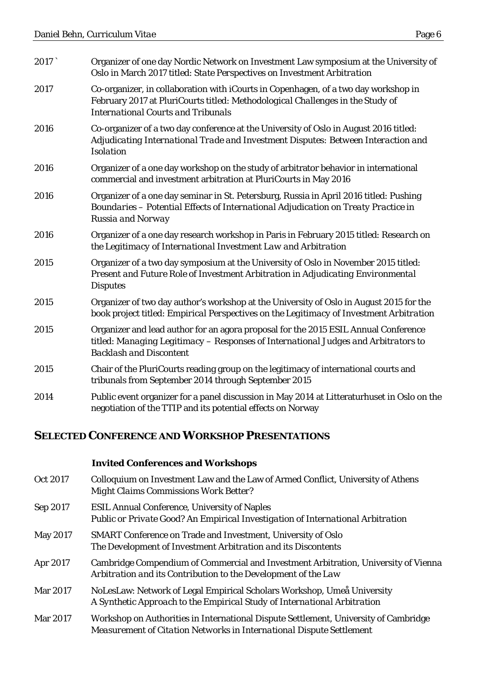| 2017 | Organizer of one day Nordic Network on Investment Law symposium at the University of<br>Oslo in March 2017 titled: State Perspectives on Investment Arbitration                                                    |
|------|--------------------------------------------------------------------------------------------------------------------------------------------------------------------------------------------------------------------|
| 2017 | Co-organizer, in collaboration with iCourts in Copenhagen, of a two day workshop in<br>February 2017 at PluriCourts titled: Methodological Challenges in the Study of<br><b>International Courts and Tribunals</b> |
| 2016 | Co-organizer of a two day conference at the University of Oslo in August 2016 titled:<br>Adjudicating International Trade and Investment Disputes: Between Interaction and<br><b>Isolation</b>                     |
| 2016 | Organizer of a one day workshop on the study of arbitrator behavior in international<br>commercial and investment arbitration at PluriCourts in May 2016                                                           |
| 2016 | Organizer of a one day seminar in St. Petersburg, Russia in April 2016 titled: Pushing<br>Boundaries - Potential Effects of International Adjudication on Treaty Practice in<br><b>Russia and Norway</b>           |
| 2016 | Organizer of a one day research workshop in Paris in February 2015 titled: Research on<br>the Legitimacy of International Investment Law and Arbitration                                                           |
| 2015 | Organizer of a two day symposium at the University of Oslo in November 2015 titled:<br>Present and Future Role of Investment Arbitration in Adjudicating Environmental<br><b>Disputes</b>                          |
| 2015 | Organizer of two day author's workshop at the University of Oslo in August 2015 for the<br>book project titled: Empirical Perspectives on the Legitimacy of Investment Arbitration                                 |
| 2015 | Organizer and lead author for an agora proposal for the 2015 ESIL Annual Conference<br>titled: Managing Legitimacy - Responses of International Judges and Arbitrators to<br><b>Backlash and Discontent</b>        |
| 2015 | Chair of the PluriCourts reading group on the legitimacy of international courts and<br>tribunals from September 2014 through September 2015                                                                       |
| 2014 | Public event organizer for a panel discussion in May 2014 at Litteraturhuset in Oslo on the<br>negotiation of the TTIP and its potential effects on Norway                                                         |

# **SELECTED CONFERENCE AND WORKSHOP PRESENTATIONS**

|          | <b>Invited Conferences and Workshops</b>                                                                                                                     |
|----------|--------------------------------------------------------------------------------------------------------------------------------------------------------------|
| Oct 2017 | Colloquium on Investment Law and the Law of Armed Conflict, University of Athens<br><b>Might Claims Commissions Work Better?</b>                             |
| Sep 2017 | <b>ESIL Annual Conference, University of Naples</b><br>Public or Private Good? An Empirical Investigation of International Arbitration                       |
| May 2017 | <b>SMART</b> Conference on Trade and Investment, University of Oslo<br>The Development of Investment Arbitration and its Discontents                         |
| Apr 2017 | Cambridge Compendium of Commercial and Investment Arbitration, University of Vienna<br>Arbitration and its Contribution to the Development of the Law        |
| Mar 2017 | NoLesLaw: Network of Legal Empirical Scholars Workshop, Umea University<br>A Synthetic Approach to the Empirical Study of International Arbitration          |
| Mar 2017 | Workshop on Authorities in International Dispute Settlement, University of Cambridge<br>Measurement of Citation Networks in International Dispute Settlement |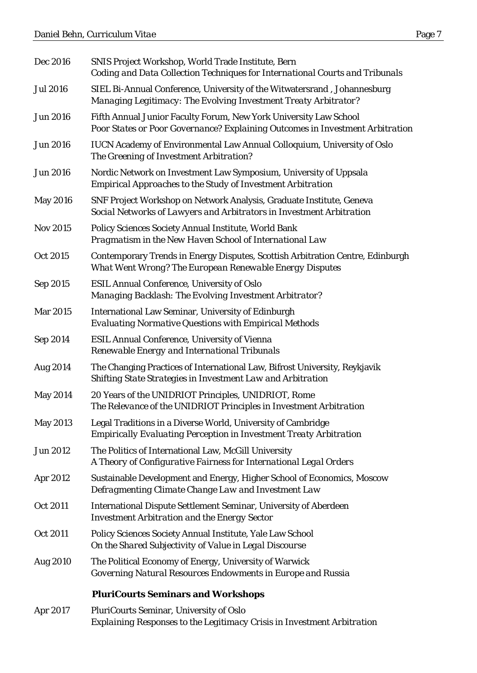| Dec 2016        | SNIS Project Workshop, World Trade Institute, Bern<br>Coding and Data Collection Techniques for International Courts and Tribunals                 |
|-----------------|----------------------------------------------------------------------------------------------------------------------------------------------------|
| <b>Jul 2016</b> | SIEL Bi-Annual Conference, University of the Witwatersrand, Johannesburg<br>Managing Legitimacy: The Evolving Investment Treaty Arbitrator?        |
| <b>Jun 2016</b> | Fifth Annual Junior Faculty Forum, New York University Law School<br>Poor States or Poor Governance? Explaining Outcomes in Investment Arbitration |
| <b>Jun 2016</b> | <b>IUCN Academy of Environmental Law Annual Colloquium, University of Oslo</b><br>The Greening of Investment Arbitration?                          |
| <b>Jun 2016</b> | Nordic Network on Investment Law Symposium, University of Uppsala<br><b>Empirical Approaches to the Study of Investment Arbitration</b>            |
| <b>May 2016</b> | SNF Project Workshop on Network Analysis, Graduate Institute, Geneva<br>Social Networks of Lawyers and Arbitrators in Investment Arbitration       |
| <b>Nov 2015</b> | <b>Policy Sciences Society Annual Institute, World Bank</b><br>Pragmatism in the New Haven School of International Law                             |
| Oct 2015        | Contemporary Trends in Energy Disputes, Scottish Arbitration Centre, Edinburgh<br>What Went Wrong? The European Renewable Energy Disputes          |
| Sep 2015        | <b>ESIL Annual Conference, University of Oslo</b><br>Managing Backlash: The Evolving Investment Arbitrator?                                        |
| <b>Mar 2015</b> | <b>International Law Seminar, University of Edinburgh</b><br><b>Evaluating Normative Questions with Empirical Methods</b>                          |
| Sep 2014        | <b>ESIL Annual Conference, University of Vienna</b><br>Renewable Energy and International Tribunals                                                |
| Aug 2014        | The Changing Practices of International Law, Bifrost University, Reykjavik<br>Shifting State Strategies in Investment Law and Arbitration          |
| <b>May 2014</b> | 20 Years of the UNIDRIOT Principles, UNIDRIOT, Rome<br>The Relevance of the UNIDRIOT Principles in Investment Arbitration                          |
| <b>May 2013</b> | Legal Traditions in a Diverse World, University of Cambridge<br><b>Empirically Evaluating Perception in Investment Treaty Arbitration</b>          |
| <b>Jun 2012</b> | The Politics of International Law, McGill University<br>A Theory of Configurative Fairness for International Legal Orders                          |
| Apr 2012        | Sustainable Development and Energy, Higher School of Economics, Moscow<br>Defragmenting Climate Change Law and Investment Law                      |
| Oct 2011        | <b>International Dispute Settlement Seminar, University of Aberdeen</b><br><b>Investment Arbitration and the Energy Sector</b>                     |
| Oct 2011        | Policy Sciences Society Annual Institute, Yale Law School<br>On the Shared Subjectivity of Value in Legal Discourse                                |
| Aug 2010        | The Political Economy of Energy, University of Warwick<br>Governing Natural Resources Endowments in Europe and Russia                              |
|                 | <b>PluriCourts Seminars and Workshops</b>                                                                                                          |
| Apr 2017        | <b>PluriCourts Seminar, University of Oslo</b>                                                                                                     |

*Explaining Responses to the Legitimacy Crisis in Investment Arbitration*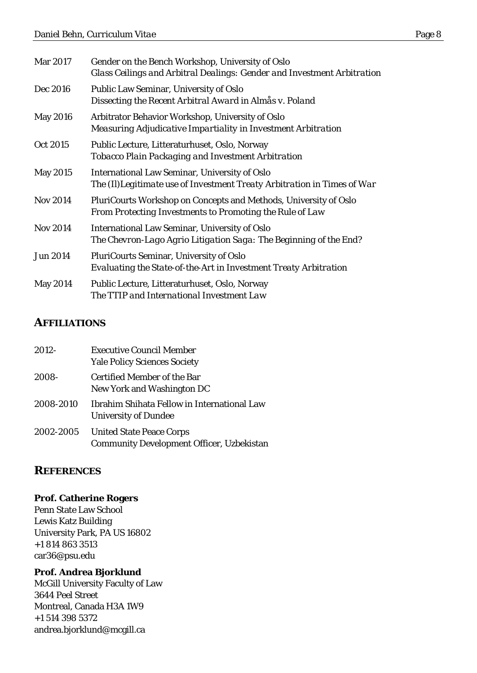| Mar 2017        | Gender on the Bench Workshop, University of Oslo<br>Glass Ceilings and Arbitral Dealings: Gender and Investment Arbitration      |
|-----------------|----------------------------------------------------------------------------------------------------------------------------------|
| Dec 2016        | Public Law Seminar, University of Oslo<br>Dissecting the Recent Arbitral Award in Almas v. Poland                                |
| <b>May 2016</b> | Arbitrator Behavior Workshop, University of Oslo<br>Measuring Adjudicative Impartiality in Investment Arbitration                |
| Oct 2015        | Public Lecture, Litteraturhuset, Oslo, Norway<br>Tobacco Plain Packaging and Investment Arbitration                              |
| <b>May 2015</b> | <b>International Law Seminar, University of Oslo</b><br>The (II) Legitimate use of Investment Treaty Arbitration in Times of War |
| <b>Nov 2014</b> | PluriCourts Workshop on Concepts and Methods, University of Oslo<br>From Protecting Investments to Promoting the Rule of Law     |
| <b>Nov 2014</b> | <b>International Law Seminar, University of Oslo</b><br>The Chevron-Lago Agrio Litigation Saga: The Beginning of the End?        |
| <b>Jun 2014</b> | <b>PluriCourts Seminar, University of Oslo</b><br>Evaluating the State-of-the-Art in Investment Treaty Arbitration               |
| <b>May 2014</b> | Public Lecture, Litteraturhuset, Oslo, Norway<br>The TTIP and International Investment Law                                       |

## **AFFILIATIONS**

| 2012-     | <b>Executive Council Member</b><br><b>Yale Policy Sciences Society</b>              |
|-----------|-------------------------------------------------------------------------------------|
| 2008-     | Certified Member of the Bar<br>New York and Washington DC                           |
| 2008-2010 | <b>Ibrahim Shihata Fellow in International Law</b><br><b>University of Dundee</b>   |
| 2002-2005 | <b>United State Peace Corps</b><br><b>Community Development Officer, Uzbekistan</b> |

## **REFERENCES**

#### **Prof. Catherine Rogers**

Penn State Law School Lewis Katz Building University Park, PA US 16802 +1 814 863 3513 car36@psu.edu

## **Prof. Andrea Bjorklund**

McGill University Faculty of Law 3644 Peel Street Montreal, Canada H3A 1W9 +1 514 398 5372 andrea.bjorklund@mcgill.ca